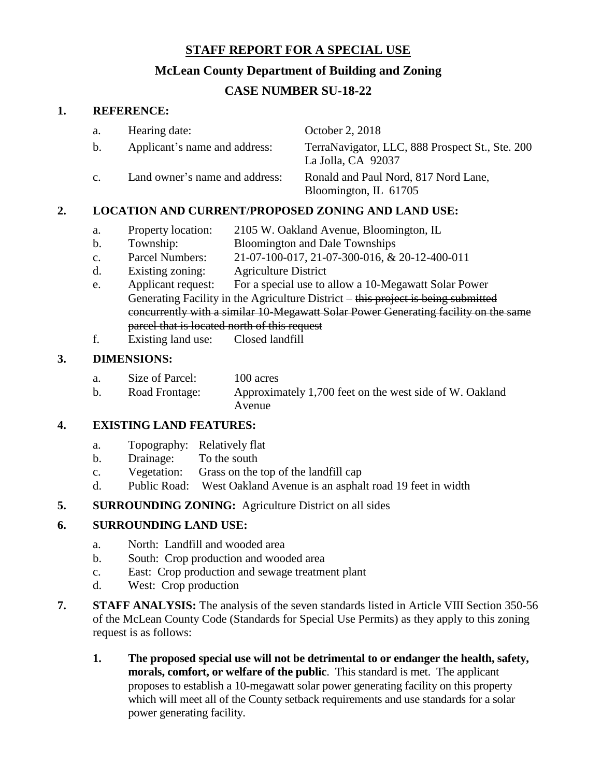## **STAFF REPORT FOR A SPECIAL USE**

## **McLean County Department of Building and Zoning**

# **CASE NUMBER SU-18-22**

#### **1. REFERENCE:**

| a.                                  | Hearing date:                  | October 2, 2018                                                       |
|-------------------------------------|--------------------------------|-----------------------------------------------------------------------|
| $\mathbf{b}$ .                      | Applicant's name and address:  | TerraNavigator, LLC, 888 Prospect St., Ste. 200<br>La Jolla, CA 92037 |
| C <sub>1</sub>                      | Land owner's name and address: | Ronald and Paul Nord, 817 Nord Lane,<br>Bloomington, IL 61705         |
| ENTERNADACER FANINIA LITRI LITRITOR |                                |                                                                       |

## **2. LOCATION AND CURRENT/PROPOSED ZONING AND LAND USE:**

- a. Property location: 2105 W. Oakland Avenue, Bloomington, IL
- b. Township: Bloomington and Dale Townships
- c. Parcel Numbers: 21-07-100-017, 21-07-300-016, & 20-12-400-011
- d. Existing zoning: Agriculture District
- e. Applicant request: For a special use to allow a 10-Megawatt Solar Power Generating Facility in the Agriculture District – this project is being submitted concurrently with a similar 10-Megawatt Solar Power Generating facility on the same parcel that is located north of this request
- f. Existing land use: Closed landfill

#### **3. DIMENSIONS:**

- a. Size of Parcel: 100 acres
- b. Road Frontage: Approximately 1,700 feet on the west side of W. Oakland Avenue

#### **4. EXISTING LAND FEATURES:**

- a. Topography: Relatively flat
- b. Drainage: To the south
- c. Vegetation: Grass on the top of the landfill cap
- d. Public Road: West Oakland Avenue is an asphalt road 19 feet in width
- **5. SURROUNDING ZONING:** Agriculture District on all sides

## **6. SURROUNDING LAND USE:**

- a. North: Landfill and wooded area
- b. South: Crop production and wooded area
- c. East: Crop production and sewage treatment plant
- d. West: Crop production
- **7. STAFF ANALYSIS:** The analysis of the seven standards listed in Article VIII Section 350-56 of the McLean County Code (Standards for Special Use Permits) as they apply to this zoning request is as follows:
	- **1. The proposed special use will not be detrimental to or endanger the health, safety, morals, comfort, or welfare of the public**. This standard is met. The applicant proposes to establish a 10-megawatt solar power generating facility on this property which will meet all of the County setback requirements and use standards for a solar power generating facility.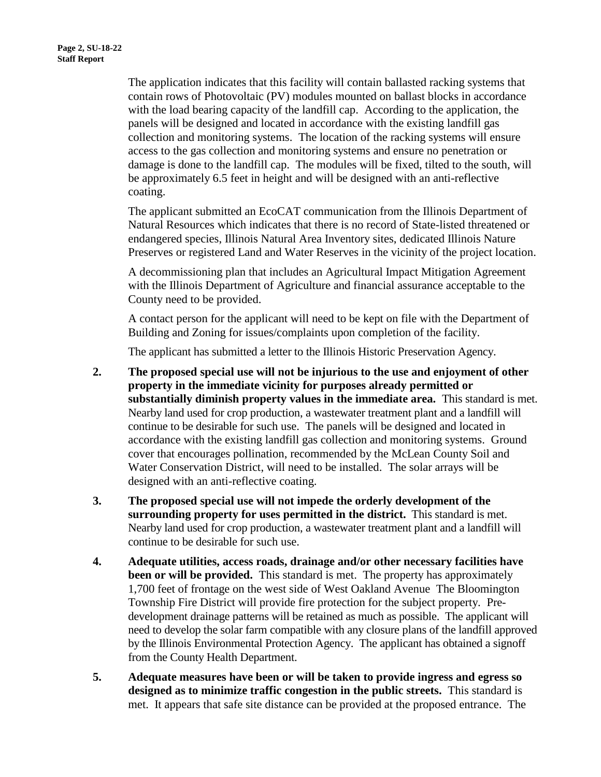The application indicates that this facility will contain ballasted racking systems that contain rows of Photovoltaic (PV) modules mounted on ballast blocks in accordance with the load bearing capacity of the landfill cap. According to the application, the panels will be designed and located in accordance with the existing landfill gas collection and monitoring systems. The location of the racking systems will ensure access to the gas collection and monitoring systems and ensure no penetration or damage is done to the landfill cap. The modules will be fixed, tilted to the south, will be approximately 6.5 feet in height and will be designed with an anti-reflective coating.

The applicant submitted an EcoCAT communication from the Illinois Department of Natural Resources which indicates that there is no record of State-listed threatened or endangered species, Illinois Natural Area Inventory sites, dedicated Illinois Nature Preserves or registered Land and Water Reserves in the vicinity of the project location.

A decommissioning plan that includes an Agricultural Impact Mitigation Agreement with the Illinois Department of Agriculture and financial assurance acceptable to the County need to be provided.

A contact person for the applicant will need to be kept on file with the Department of Building and Zoning for issues/complaints upon completion of the facility.

The applicant has submitted a letter to the Illinois Historic Preservation Agency.

- **2. The proposed special use will not be injurious to the use and enjoyment of other property in the immediate vicinity for purposes already permitted or substantially diminish property values in the immediate area.** This standard is met. Nearby land used for crop production, a wastewater treatment plant and a landfill will continue to be desirable for such use. The panels will be designed and located in accordance with the existing landfill gas collection and monitoring systems. Ground cover that encourages pollination, recommended by the McLean County Soil and Water Conservation District, will need to be installed. The solar arrays will be designed with an anti-reflective coating.
- **3. The proposed special use will not impede the orderly development of the surrounding property for uses permitted in the district.** This standard is met. Nearby land used for crop production, a wastewater treatment plant and a landfill will continue to be desirable for such use.
- **4. Adequate utilities, access roads, drainage and/or other necessary facilities have been or will be provided.** This standard is met. The property has approximately 1,700 feet of frontage on the west side of West Oakland Avenue The Bloomington Township Fire District will provide fire protection for the subject property. Predevelopment drainage patterns will be retained as much as possible. The applicant will need to develop the solar farm compatible with any closure plans of the landfill approved by the Illinois Environmental Protection Agency. The applicant has obtained a signoff from the County Health Department.
- **5. Adequate measures have been or will be taken to provide ingress and egress so designed as to minimize traffic congestion in the public streets.** This standard is met. It appears that safe site distance can be provided at the proposed entrance. The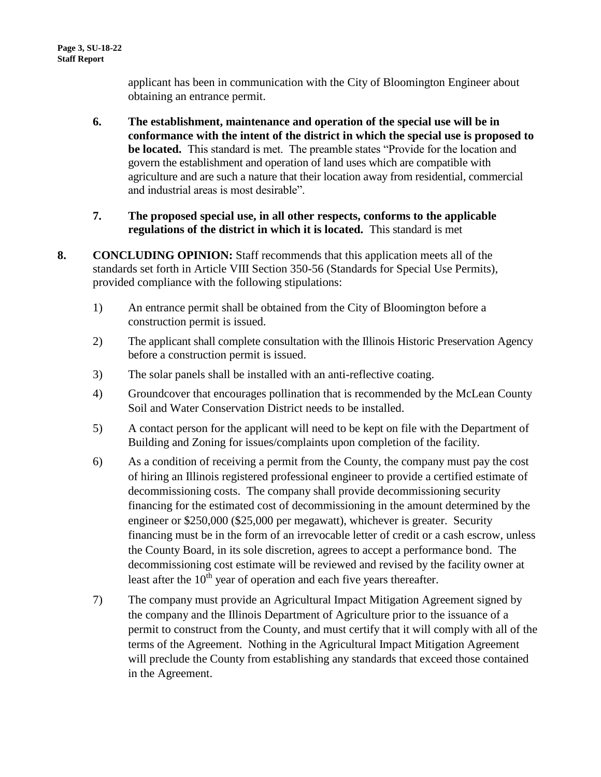applicant has been in communication with the City of Bloomington Engineer about obtaining an entrance permit.

- **6. The establishment, maintenance and operation of the special use will be in conformance with the intent of the district in which the special use is proposed to be located.** This standard is met. The preamble states "Provide for the location and govern the establishment and operation of land uses which are compatible with agriculture and are such a nature that their location away from residential, commercial and industrial areas is most desirable".
- **7. The proposed special use, in all other respects, conforms to the applicable regulations of the district in which it is located.** This standard is met
- **8. CONCLUDING OPINION:** Staff recommends that this application meets all of the standards set forth in Article VIII Section 350-56 (Standards for Special Use Permits), provided compliance with the following stipulations:
	- 1) An entrance permit shall be obtained from the City of Bloomington before a construction permit is issued.
	- 2) The applicant shall complete consultation with the Illinois Historic Preservation Agency before a construction permit is issued.
	- 3) The solar panels shall be installed with an anti-reflective coating.
	- 4) Groundcover that encourages pollination that is recommended by the McLean County Soil and Water Conservation District needs to be installed.
	- 5) A contact person for the applicant will need to be kept on file with the Department of Building and Zoning for issues/complaints upon completion of the facility.
	- 6) As a condition of receiving a permit from the County, the company must pay the cost of hiring an Illinois registered professional engineer to provide a certified estimate of decommissioning costs. The company shall provide decommissioning security financing for the estimated cost of decommissioning in the amount determined by the engineer or \$250,000 (\$25,000 per megawatt), whichever is greater. Security financing must be in the form of an irrevocable letter of credit or a cash escrow, unless the County Board, in its sole discretion, agrees to accept a performance bond. The decommissioning cost estimate will be reviewed and revised by the facility owner at least after the  $10<sup>th</sup>$  year of operation and each five years thereafter.
	- 7) The company must provide an Agricultural Impact Mitigation Agreement signed by the company and the Illinois Department of Agriculture prior to the issuance of a permit to construct from the County, and must certify that it will comply with all of the terms of the Agreement. Nothing in the Agricultural Impact Mitigation Agreement will preclude the County from establishing any standards that exceed those contained in the Agreement.